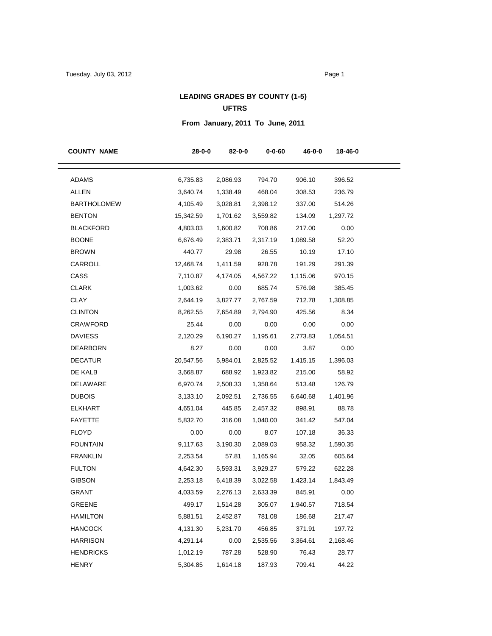## **LEADING GRADES BY COUNTY (1-5)**

## **UFTRS**

## **From January, 2011 To June, 2011**

| <b>COUNTY NAME</b> | $28 - 0 - 0$ | 82-0-0   | 0-0-60   | 46-0-0   | 18-46-0  |
|--------------------|--------------|----------|----------|----------|----------|
| <b>ADAMS</b>       | 6,735.83     | 2,086.93 | 794.70   | 906.10   | 396.52   |
| <b>ALLEN</b>       | 3,640.74     | 1,338.49 | 468.04   | 308.53   | 236.79   |
| <b>BARTHOLOMEW</b> | 4,105.49     | 3,028.81 | 2,398.12 | 337.00   | 514.26   |
| <b>BENTON</b>      | 15,342.59    | 1,701.62 | 3,559.82 | 134.09   | 1,297.72 |
| <b>BLACKFORD</b>   | 4,803.03     | 1,600.82 | 708.86   | 217.00   | 0.00     |
| <b>BOONE</b>       | 6,676.49     | 2,383.71 | 2,317.19 | 1,089.58 | 52.20    |
| <b>BROWN</b>       | 440.77       | 29.98    | 26.55    | 10.19    | 17.10    |
| CARROLL            | 12,468.74    | 1,411.59 | 928.78   | 191.29   | 291.39   |
| CASS               | 7,110.87     | 4,174.05 | 4,567.22 | 1,115.06 | 970.15   |
| <b>CLARK</b>       | 1,003.62     | 0.00     | 685.74   | 576.98   | 385.45   |
| CLAY               | 2,644.19     | 3,827.77 | 2,767.59 | 712.78   | 1,308.85 |
| <b>CLINTON</b>     | 8,262.55     | 7,654.89 | 2,794.90 | 425.56   | 8.34     |
| <b>CRAWFORD</b>    | 25.44        | 0.00     | 0.00     | 0.00     | 0.00     |
| <b>DAVIESS</b>     | 2,120.29     | 6,190.27 | 1,195.61 | 2,773.83 | 1,054.51 |
| <b>DEARBORN</b>    | 8.27         | 0.00     | 0.00     | 3.87     | 0.00     |
| <b>DECATUR</b>     | 20,547.56    | 5,984.01 | 2,825.52 | 1,415.15 | 1,396.03 |
| DE KALB            | 3,668.87     | 688.92   | 1,923.82 | 215.00   | 58.92    |
| DELAWARE           | 6,970.74     | 2,508.33 | 1,358.64 | 513.48   | 126.79   |
| <b>DUBOIS</b>      | 3,133.10     | 2,092.51 | 2,736.55 | 6,640.68 | 1,401.96 |
| <b>ELKHART</b>     | 4,651.04     | 445.85   | 2,457.32 | 898.91   | 88.78    |
| <b>FAYETTE</b>     | 5,832.70     | 316.08   | 1,040.00 | 341.42   | 547.04   |
| <b>FLOYD</b>       | 0.00         | 0.00     | 8.07     | 107.18   | 36.33    |
| <b>FOUNTAIN</b>    | 9,117.63     | 3,190.30 | 2,089.03 | 958.32   | 1,590.35 |
| <b>FRANKLIN</b>    | 2,253.54     | 57.81    | 1,165.94 | 32.05    | 605.64   |
| <b>FULTON</b>      | 4,642.30     | 5,593.31 | 3,929.27 | 579.22   | 622.28   |
| <b>GIBSON</b>      | 2,253.18     | 6,418.39 | 3,022.58 | 1,423.14 | 1,843.49 |
| <b>GRANT</b>       | 4,033.59     | 2,276.13 | 2,633.39 | 845.91   | 0.00     |
| GREENE             | 499.17       | 1,514.28 | 305.07   | 1,940.57 | 718.54   |
| HAMILTON           | 5,881.51     | 2,452.87 | 781.08   | 186.68   | 217.47   |
| <b>HANCOCK</b>     | 4,131.30     | 5,231.70 | 456.85   | 371.91   | 197.72   |
| <b>HARRISON</b>    | 4,291.14     | 0.00     | 2,535.56 | 3,364.61 | 2,168.46 |
| <b>HENDRICKS</b>   | 1,012.19     | 787.28   | 528.90   | 76.43    | 28.77    |
| <b>HENRY</b>       | 5,304.85     | 1,614.18 | 187.93   | 709.41   | 44.22    |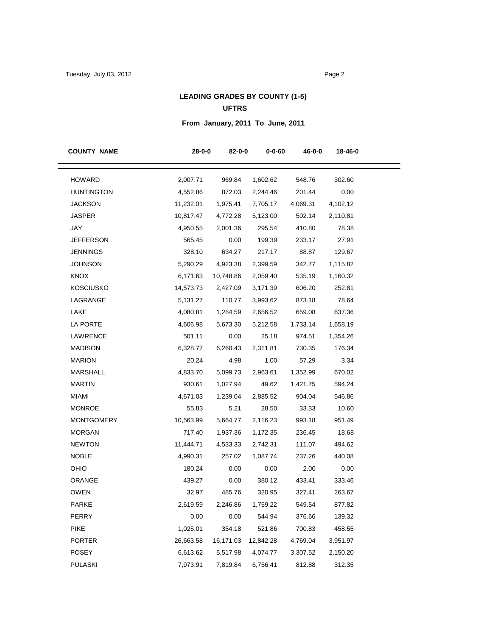# **LEADING GRADES BY COUNTY (1-5)**

### **UFTRS**

## **From January, 2011 To June, 2011**

| <b>COUNTY NAME</b> | $28 - 0 - 0$ | 82-0-0    | $0 - 0 - 60$ | 46-0-0   | 18-46-0  |
|--------------------|--------------|-----------|--------------|----------|----------|
| <b>HOWARD</b>      | 2,007.71     | 969.84    | 1,602.62     | 548.76   | 302.60   |
| <b>HUNTINGTON</b>  | 4,552.86     | 872.03    | 2,244.46     | 201.44   | 0.00     |
| <b>JACKSON</b>     | 11,232.01    | 1,975.41  | 7,705.17     | 4,069.31 | 4,102.12 |
| <b>JASPER</b>      | 10,817.47    | 4,772.28  | 5,123.00     | 502.14   | 2,110.81 |
| JAY                | 4,950.55     | 2,001.36  | 295.54       | 410.80   | 78.38    |
| <b>JEFFERSON</b>   | 565.45       | 0.00      | 199.39       | 233.17   | 27.91    |
| <b>JENNINGS</b>    | 328.10       | 634.27    | 217.17       | 88.87    | 129.67   |
| <b>JOHNSON</b>     | 5,290.29     | 4,923.38  | 2,399.59     | 342.77   | 1,115.82 |
| <b>KNOX</b>        | 6,171.63     | 10,748.86 | 2,059.40     | 535.19   | 1,160.32 |
| <b>KOSCIUSKO</b>   | 14,573.73    | 2,427.09  | 3,171.39     | 606.20   | 252.81   |
| LAGRANGE           | 5,131.27     | 110.77    | 3,993.62     | 873.18   | 78.64    |
| LAKE               | 4,080.81     | 1,284.59  | 2,656.52     | 659.08   | 637.36   |
| LA PORTE           | 4,606.98     | 5,673.30  | 5,212.58     | 1,733.14 | 1,658.19 |
| LAWRENCE           | 501.11       | 0.00      | 25.18        | 974.51   | 1,354.26 |
| <b>MADISON</b>     | 6,328.77     | 6,260.43  | 2,311.81     | 730.35   | 176.34   |
| <b>MARION</b>      | 20.24        | 4.98      | 1.00         | 57.29    | 3.34     |
| <b>MARSHALL</b>    | 4,833.70     | 5,099.73  | 2,963.61     | 1,352.99 | 670.02   |
| <b>MARTIN</b>      | 930.61       | 1,027.94  | 49.62        | 1,421.75 | 594.24   |
| <b>MIAMI</b>       | 4,671.03     | 1,239.04  | 2,885.52     | 904.04   | 546.86   |
| <b>MONROE</b>      | 55.83        | 5.21      | 28.50        | 33.33    | 10.60    |
| <b>MONTGOMERY</b>  | 10,563.99    | 5,664.77  | 2,116.23     | 993.18   | 951.49   |
| <b>MORGAN</b>      | 717.40       | 1,937.36  | 1,172.35     | 236.45   | 18.68    |
| <b>NEWTON</b>      | 11,444.71    | 4,533.33  | 2,742.31     | 111.07   | 494.62   |
| <b>NOBLE</b>       | 4,990.31     | 257.02    | 1,087.74     | 237.26   | 440.08   |
| OHIO               | 180.24       | 0.00      | 0.00         | 2.00     | 0.00     |
| ORANGE             | 439.27       | 0.00      | 380.12       | 433.41   | 333.46   |
| <b>OWEN</b>        | 32.97        | 485.76    | 320.95       | 327.41   | 263.67   |
| <b>PARKE</b>       | 2,619.59     | 2,246.86  | 1,759.22     | 549.54   | 877.82   |
| <b>PERRY</b>       | 0.00         | 0.00      | 544.94       | 376.66   | 139.32   |
| <b>PIKE</b>        | 1,025.01     | 354.18    | 521.86       | 700.83   | 458.55   |
| <b>PORTER</b>      | 26,663.58    | 16,171.03 | 12,842.28    | 4,769.04 | 3,951.97 |
| POSEY              | 6,613.62     | 5,517.98  | 4,074.77     | 3,307.52 | 2,150.20 |
| <b>PULASKI</b>     | 7,973.91     | 7,819.84  | 6,756.41     | 812.88   | 312.35   |